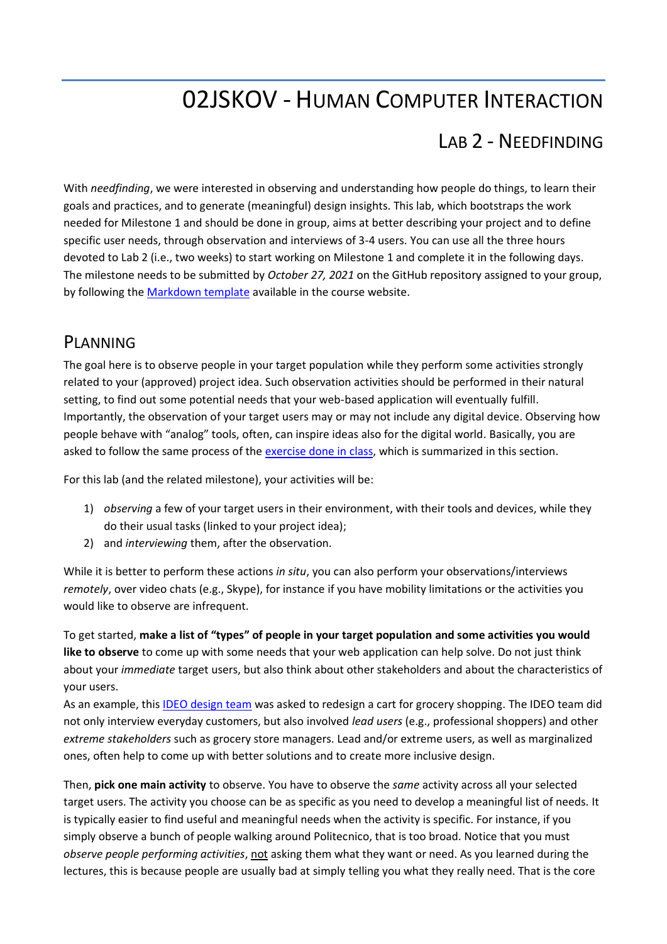# 02JSKOV - HUMAN COMPUTER INTERACTION

## LAB 2 - NEEDFINDING

With *needfinding*, we were interested in observing and understanding how people do things, to learn their goals and practices, and to generate (meaningful) design insights. This lab, which bootstraps the work needed for Milestone 1 and should be done in group, aims at better describing your project and to define specific user needs, through observation and interviews of 3-4 users. You can use all the three hours devoted to Lab 2 (i.e., two weeks) to start working on Milestone 1 and complete it in the following days. The milestone needs to be submitted by *October 27, 2021* on the GitHub repository assigned to your group, by following the [Markdown template](https://elite.polito.it/files/courses/02JSKOV/2021/milestones/milestone1.md) available in the course website.

#### **PLANNING**

The goal here is to observe people in your target population while they perform some activities strongly related to your (approved) project idea. Such observation activities should be performed in their natural setting, to find out some potential needs that your web-based application will eventually fulfill. Importantly, the observation of your target users may or may not include any digital device. Observing how people behave with "analog" tools, often, can inspire ideas also for the digital world. Basically, you are asked to follow the same process of the [exercise done in class,](https://elite.polito.it/files/courses/02JSKOV/2021/slide/03b-needfinding-exercise.pdf) which is summarized in this section.

For this lab (and the related milestone), your activities will be:

- 1) *observing* a few of your target users in their environment, with their tools and devices, while they do their usual tasks (linked to your project idea);
- 2) and *interviewing* them, after the observation.

While it is better to perform these actions *in situ*, you can also perform your observations/interviews *remotely*, over video chats (e.g., Skype), for instance if you have mobility limitations or the activities you would like to observe are infrequent.

To get started, **make a list of "types" of people in your target population and some activities you would like to observe** to come up with some needs that your web application can help solve. Do not just think about your *immediate* target users, but also think about other stakeholders and about the characteristics of your users.

As an example, this [IDEO design team](https://youtu.be/MjSNWhjDvQU) was asked to redesign a cart for grocery shopping. The IDEO team did not only interview everyday customers, but also involved *lead users* (e.g., professional shoppers) and other *extreme stakeholders* such as grocery store managers. Lead and/or extreme users, as well as marginalized ones, often help to come up with better solutions and to create more inclusive design.

Then, **pick one main activity** to observe. You have to observe the *same* activity across all your selected target users. The activity you choose can be as specific as you need to develop a meaningful list of needs. It is typically easier to find useful and meaningful needs when the activity is specific. For instance, if you simply observe a bunch of people walking around Politecnico, that is too broad. Notice that you must *observe people performing activities*, not asking them what they want or need. As you learned during the lectures, this is because people are usually bad at simply telling you what they really need. That is the core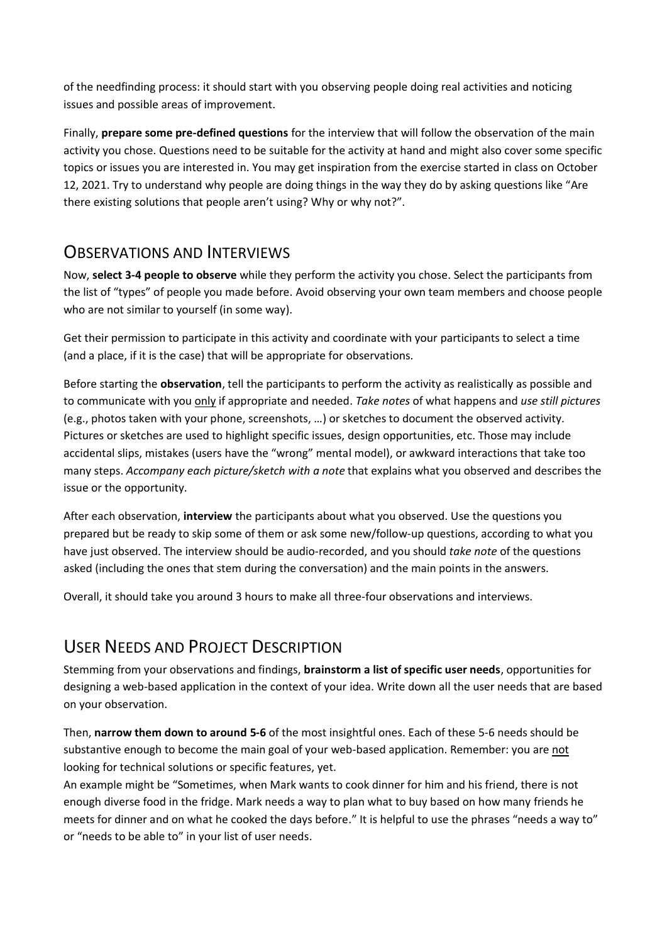of the needfinding process: it should start with you observing people doing real activities and noticing issues and possible areas of improvement.

Finally, **prepare some pre-defined questions** for the interview that will follow the observation of the main activity you chose. Questions need to be suitable for the activity at hand and might also cover some specific topics or issues you are interested in. You may get inspiration from the exercise started in class on October 12, 2021. Try to understand why people are doing things in the way they do by asking questions like "Are there existing solutions that people aren't using? Why or why not?".

#### **OBSERVATIONS AND INTERVIEWS**

Now, **select 3-4 people to observe** while they perform the activity you chose. Select the participants from the list of "types" of people you made before. Avoid observing your own team members and choose people who are not similar to yourself (in some way).

Get their permission to participate in this activity and coordinate with your participants to select a time (and a place, if it is the case) that will be appropriate for observations.

Before starting the **observation**, tell the participants to perform the activity as realistically as possible and to communicate with you only if appropriate and needed. *Take notes* of what happens and *use still pictures* (e.g., photos taken with your phone, screenshots, …) or sketches to document the observed activity. Pictures or sketches are used to highlight specific issues, design opportunities, etc. Those may include accidental slips, mistakes (users have the "wrong" mental model), or awkward interactions that take too many steps. *Accompany each picture/sketch with a note* that explains what you observed and describes the issue or the opportunity.

After each observation, **interview** the participants about what you observed. Use the questions you prepared but be ready to skip some of them or ask some new/follow-up questions, according to what you have just observed. The interview should be audio-recorded, and you should *take note* of the questions asked (including the ones that stem during the conversation) and the main points in the answers.

Overall, it should take you around 3 hours to make all three-four observations and interviews.

### USER NEEDS AND PROJECT DESCRIPTION

Stemming from your observations and findings, **brainstorm a list of specific user needs**, opportunities for designing a web-based application in the context of your idea. Write down all the user needs that are based on your observation.

Then, **narrow them down to around 5-6** of the most insightful ones. Each of these 5-6 needs should be substantive enough to become the main goal of your web-based application. Remember: you are not looking for technical solutions or specific features, yet.

An example might be "Sometimes, when Mark wants to cook dinner for him and his friend, there is not enough diverse food in the fridge. Mark needs a way to plan what to buy based on how many friends he meets for dinner and on what he cooked the days before." It is helpful to use the phrases "needs a way to" or "needs to be able to" in your list of user needs.